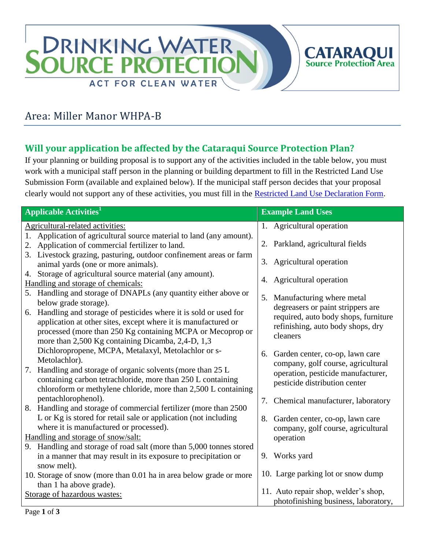

# Area: Miller Manor WHPA-B

### **Will your application be affected by the Cataraqui Source Protection Plan?**

If your planning or building proposal is to support any of the activities included in the table below, you must work with a municipal staff person in the planning or building department to fill in the Restricted Land Use Submission Form (available and explained below). If the municipal staff person decides that your proposal clearly would not support any of these activities, you must fill in the [Restricted Land Use Declaration Form.](http://www.cleanwatercataraqui.ca/publications/RestrictedLandUseDeclarationForm-Web.pdf)

| <b>Applicable Activities</b> <sup>1</sup>                                                                                                                                                                                                                                           | <b>Example Land Uses</b>                                                                                                                           |
|-------------------------------------------------------------------------------------------------------------------------------------------------------------------------------------------------------------------------------------------------------------------------------------|----------------------------------------------------------------------------------------------------------------------------------------------------|
| Agricultural-related activities:                                                                                                                                                                                                                                                    | 1. Agricultural operation                                                                                                                          |
| 1. Application of agricultural source material to land (any amount).<br>2. Application of commercial fertilizer to land.<br>3. Livestock grazing, pasturing, outdoor confinement areas or farm                                                                                      | 2. Parkland, agricultural fields                                                                                                                   |
| animal yards (one or more animals).                                                                                                                                                                                                                                                 | 3. Agricultural operation                                                                                                                          |
| 4. Storage of agricultural source material (any amount).<br>Handling and storage of chemicals:                                                                                                                                                                                      | 4. Agricultural operation                                                                                                                          |
| 5. Handling and storage of DNAPLs (any quantity either above or                                                                                                                                                                                                                     | Manufacturing where metal<br>5.                                                                                                                    |
| below grade storage).<br>Handling and storage of pesticides where it is sold or used for<br>6.<br>application at other sites, except where it is manufactured or<br>processed (more than 250 Kg containing MCPA or Mecoprop or<br>more than 2,500 Kg containing Dicamba, 2,4-D, 1,3 | degreasers or paint strippers are<br>required, auto body shops, furniture<br>refinishing, auto body shops, dry<br>cleaners                         |
| Dichloropropene, MCPA, Metalaxyl, Metolachlor or s-<br>Metolachlor).<br>Handling and storage of organic solvents (more than 25 L<br>7.<br>containing carbon tetrachloride, more than 250 L containing<br>chloroform or methylene chloride, more than 2,500 L containing             | Garden center, co-op, lawn care<br>6.<br>company, golf course, agricultural<br>operation, pesticide manufacturer,<br>pesticide distribution center |
| pentachlorophenol).<br>8. Handling and storage of commercial fertilizer (more than 2500)                                                                                                                                                                                            | 7. Chemical manufacturer, laboratory                                                                                                               |
| L or Kg is stored for retail sale or application (not including<br>where it is manufactured or processed).                                                                                                                                                                          | Garden center, co-op, lawn care<br>8.<br>company, golf course, agricultural                                                                        |
| Handling and storage of snow/salt:                                                                                                                                                                                                                                                  | operation                                                                                                                                          |
| 9. Handling and storage of road salt (more than 5,000 tonnes stored<br>in a manner that may result in its exposure to precipitation or<br>snow melt).                                                                                                                               | 9. Works yard                                                                                                                                      |
| 10. Storage of snow (more than 0.01 ha in area below grade or more                                                                                                                                                                                                                  | 10. Large parking lot or snow dump                                                                                                                 |
| than 1 ha above grade).                                                                                                                                                                                                                                                             |                                                                                                                                                    |
| Storage of hazardous wastes:                                                                                                                                                                                                                                                        | 11. Auto repair shop, welder's shop,<br>photofinishing business, laboratory,                                                                       |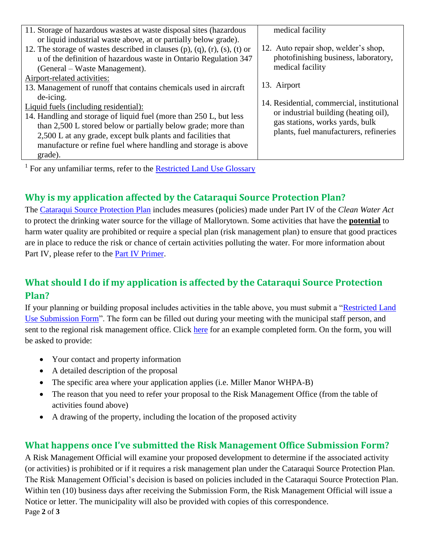| 11. Storage of hazardous wastes at waste disposal sites (hazardous        | medical facility                           |
|---------------------------------------------------------------------------|--------------------------------------------|
| or liquid industrial waste above, at or partially below grade).           |                                            |
| 12. The storage of wastes described in clauses (p), (q), (r), (s), (t) or | 12. Auto repair shop, welder's shop,       |
| u of the definition of hazardous waste in Ontario Regulation 347          | photofinishing business, laboratory,       |
| (General – Waste Management).                                             | medical facility                           |
| Airport-related activities:                                               |                                            |
| 13. Management of runoff that contains chemicals used in aircraft         | 13. Airport                                |
| de-icing.                                                                 |                                            |
| Liquid fuels (including residential):                                     | 14. Residential, commercial, institutional |
| 14. Handling and storage of liquid fuel (more than 250 L, but less        | or industrial building (heating oil),      |
| than 2,500 L stored below or partially below grade; more than             | gas stations, works yards, bulk            |
| 2,500 L at any grade, except bulk plants and facilities that              | plants, fuel manufacturers, refineries     |
| manufacture or refine fuel where handling and storage is above            |                                            |
| grade).                                                                   |                                            |
|                                                                           |                                            |

<sup>1</sup> For any unfamiliar terms, refer to the **Restricted Land Use Glossary** 

## **Why is my application affected by the Cataraqui Source Protection Plan?**

The Cataraqui [Source Protection Plan](http://cleanwatercataraqui.ca/studies-and-reports/cataraqui-source-protection-plan-explanatory-document/) includes measures (policies) made under Part IV of the *Clean Water Act* to protect the drinking water source for the village of Mallorytown. Some activities that have the **potential** to harm water quality are prohibited or require a special plan (risk management plan) to ensure that good practices are in place to reduce the risk or chance of certain activities polluting the water. For more information about Part IV, please refer to the [Part IV Primer.](http://www.cleanwatercataraqui.ca/publications/CataraquiRegionPartIVPrimer.pdf)

### **What should I do if my application is affected by the Cataraqui Source Protection Plan?**

If your planning or building proposal includes activities in the table above, you must submit a ["Restricted Land](http://www.cleanwatercataraqui.ca/publications/RestrictedLandUseSubmissionForm-Web.pdf)  [Use Submission Form"](http://www.cleanwatercataraqui.ca/publications/RestrictedLandUseSubmissionForm-Web.pdf). The form can be filled out during your meeting with the municipal staff person, and sent to the regional risk management office. Click [here](http://www.cleanwatercataraqui.ca/publications/RestrictedLandUseSubmissionForm-Ex-Web.pdf) for an example completed form. On the form, you will be asked to provide:

- Your contact and property information
- A detailed description of the proposal
- The specific area where your application applies (i.e. Miller Manor WHPA-B)
- The reason that you need to refer your proposal to the Risk Management Office (from the table of activities found above)
- A drawing of the property, including the location of the proposed activity

### **What happens once I've submitted the Risk Management Office Submission Form?**

Page **2** of **3** A Risk Management Official will examine your proposed development to determine if the associated activity (or activities) is prohibited or if it requires a risk management plan under the Cataraqui Source Protection Plan. The Risk Management Official's decision is based on policies included in the Cataraqui Source Protection Plan. Within ten (10) business days after receiving the Submission Form, the Risk Management Official will issue a Notice or letter. The municipality will also be provided with copies of this correspondence.